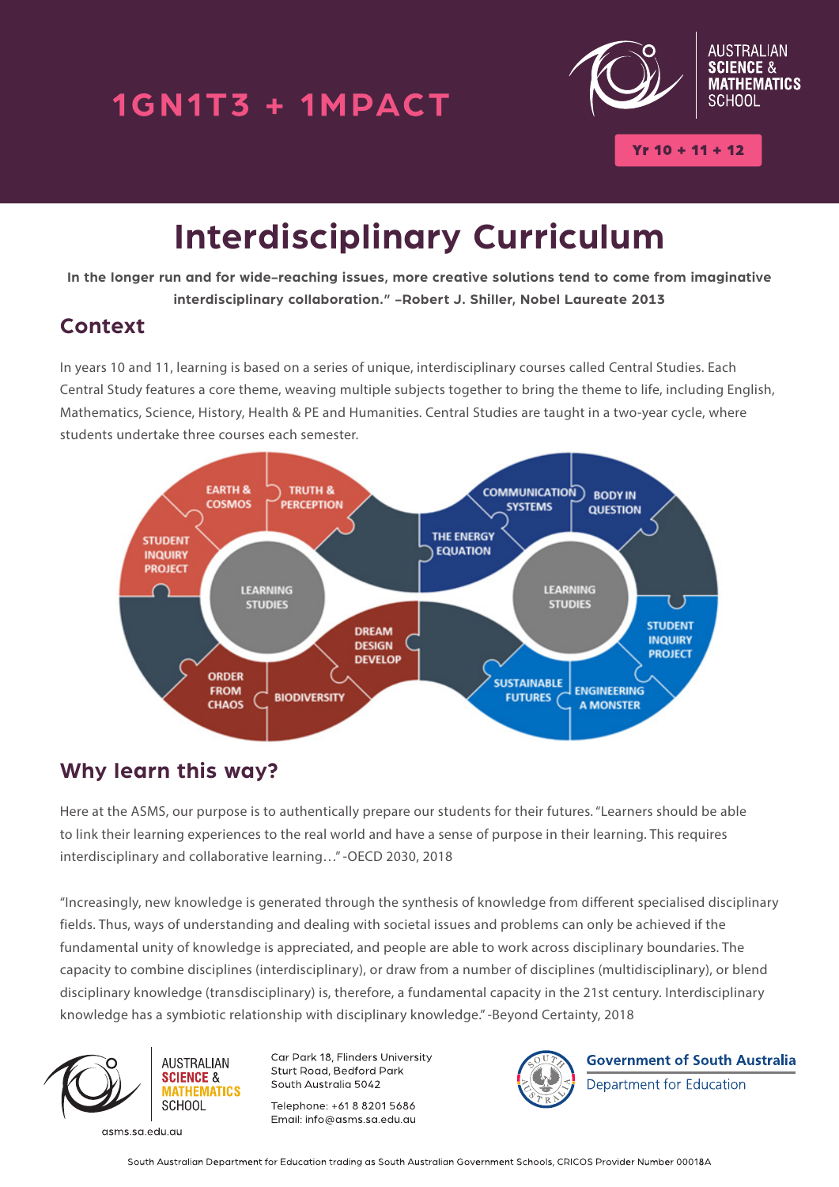## 1GN1T3 + 1MPACT



# **Interdisciplinary Curriculum**

**In the longer run and for wide-reaching issues, more creative solutions tend to come from imaginative interdisciplinary collaboration." -Robert J. Shiller, Nobel Laureate 2013**

### **Context**

In years 10 and 11, learning is based on a series of unique, interdisciplinary courses called Central Studies. Each Central Study features a core theme, weaving multiple subjects together to bring the theme to life, including English, Mathematics, Science, History, Health & PE and Humanities. Central Studies are taught in a two-year cycle, where students undertake three courses each semester.



## **Why learn this way?**

Here at the ASMS, our purpose is to authentically prepare our students for their futures. "Learners should be able to link their learning experiences to the real world and have a sense of purpose in their learning. This requires interdisciplinary and collaborative learning…" -OECD 2030, 2018

"Increasingly, new knowledge is generated through the synthesis of knowledge from different specialised disciplinary fields. Thus, ways of understanding and dealing with societal issues and problems can only be achieved if the fundamental unity of knowledge is appreciated, and people are able to work across disciplinary boundaries. The capacity to combine disciplines (interdisciplinary), or draw from a number of disciplines (multidisciplinary), or blend disciplinary knowledge (transdisciplinary) is, therefore, a fundamental capacity in the 21st century. Interdisciplinary knowledge has a symbiotic relationship with disciplinary knowledge." -Beyond Certainty, 2018



**MATHEMATICS SCHOOL** 

**AUSTRALIAN** 

**SCIENCE &** 

asms.sa.edu.au

Car Park 18, Flinders University Sturt Road, Bedford Park South Australia 5042

Telephone: +61 8 8201 5686 Email: info@asms.sa.edu.au



**Government of South Australia** 

Department for Education